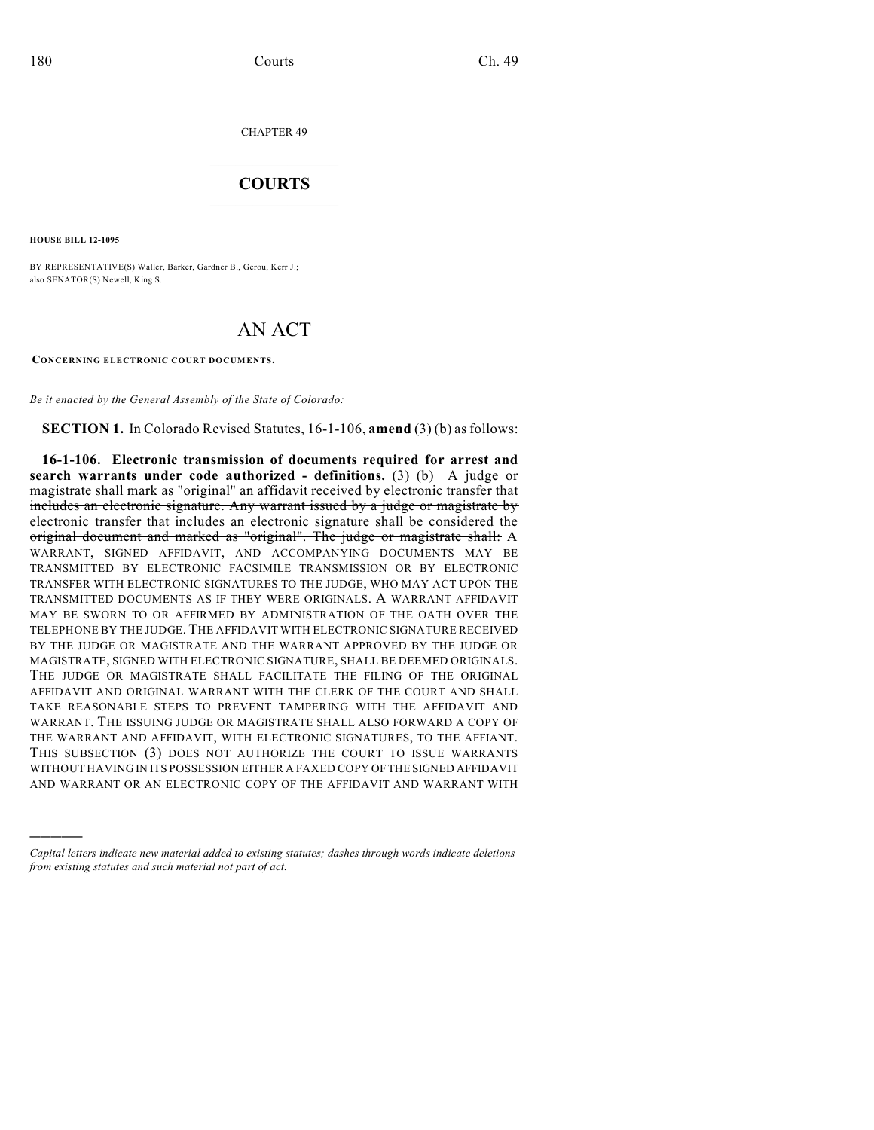CHAPTER 49

## $\mathcal{L}_\text{max}$  . The set of the set of the set of the set of the set of the set of the set of the set of the set of the set of the set of the set of the set of the set of the set of the set of the set of the set of the set **COURTS**  $\_$

**HOUSE BILL 12-1095**

)))))

BY REPRESENTATIVE(S) Waller, Barker, Gardner B., Gerou, Kerr J.; also SENATOR(S) Newell, King S.

## AN ACT

**CONCERNING ELECTRONIC COURT DOCUMENTS.**

*Be it enacted by the General Assembly of the State of Colorado:*

**SECTION 1.** In Colorado Revised Statutes, 16-1-106, **amend** (3) (b) as follows:

**16-1-106. Electronic transmission of documents required for arrest and search warrants under code authorized - definitions.** (3) (b) A judge or magistrate shall mark as "original" an affidavit received by electronic transfer that includes an electronic signature. Any warrant issued by a judge or magistrate by electronic transfer that includes an electronic signature shall be considered the original document and marked as "original". The judge or magistrate shall: A WARRANT, SIGNED AFFIDAVIT, AND ACCOMPANYING DOCUMENTS MAY BE TRANSMITTED BY ELECTRONIC FACSIMILE TRANSMISSION OR BY ELECTRONIC TRANSFER WITH ELECTRONIC SIGNATURES TO THE JUDGE, WHO MAY ACT UPON THE TRANSMITTED DOCUMENTS AS IF THEY WERE ORIGINALS. A WARRANT AFFIDAVIT MAY BE SWORN TO OR AFFIRMED BY ADMINISTRATION OF THE OATH OVER THE TELEPHONE BY THE JUDGE. THE AFFIDAVIT WITH ELECTRONIC SIGNATURE RECEIVED BY THE JUDGE OR MAGISTRATE AND THE WARRANT APPROVED BY THE JUDGE OR MAGISTRATE, SIGNED WITH ELECTRONIC SIGNATURE, SHALL BE DEEMED ORIGINALS. THE JUDGE OR MAGISTRATE SHALL FACILITATE THE FILING OF THE ORIGINAL AFFIDAVIT AND ORIGINAL WARRANT WITH THE CLERK OF THE COURT AND SHALL TAKE REASONABLE STEPS TO PREVENT TAMPERING WITH THE AFFIDAVIT AND WARRANT. THE ISSUING JUDGE OR MAGISTRATE SHALL ALSO FORWARD A COPY OF THE WARRANT AND AFFIDAVIT, WITH ELECTRONIC SIGNATURES, TO THE AFFIANT. THIS SUBSECTION (3) DOES NOT AUTHORIZE THE COURT TO ISSUE WARRANTS WITHOUT HAVING IN ITS POSSESSION EITHER A FAXED COPY OFTHE SIGNED AFFIDAVIT AND WARRANT OR AN ELECTRONIC COPY OF THE AFFIDAVIT AND WARRANT WITH

*Capital letters indicate new material added to existing statutes; dashes through words indicate deletions from existing statutes and such material not part of act.*